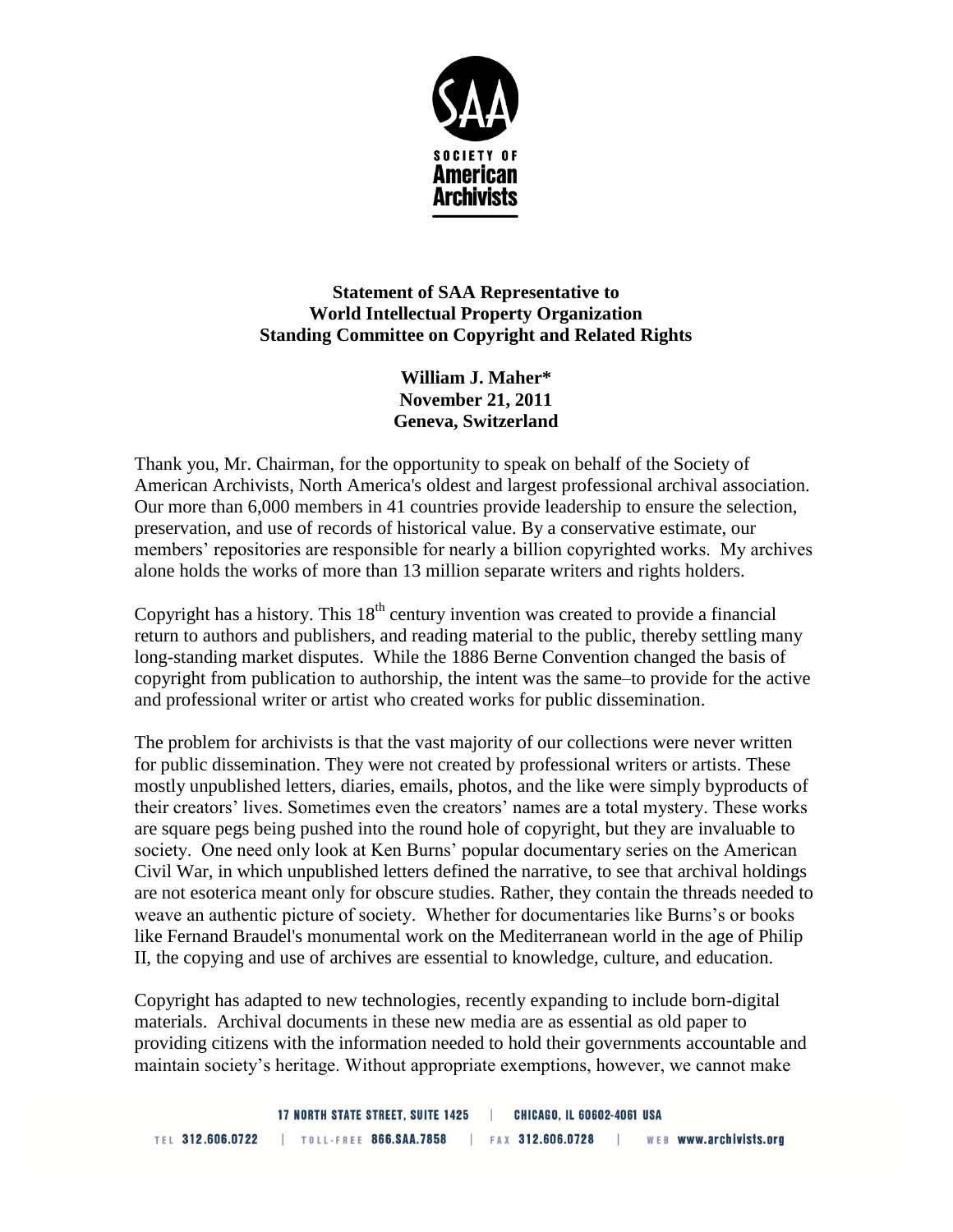

## **Statement of SAA Representative to World Intellectual Property Organization Standing Committee on Copyright and Related Rights**

**William J. Maher\* November 21, 2011 Geneva, Switzerland**

Thank you, Mr. Chairman, for the opportunity to speak on behalf of the Society of American Archivists, North America's oldest and largest professional archival association. Our more than 6,000 members in 41 countries provide leadership to ensure the selection, preservation, and use of records of historical value. By a conservative estimate, our members' repositories are responsible for nearly a billion copyrighted works. My archives alone holds the works of more than 13 million separate writers and rights holders.

Copyright has a history. This  $18<sup>th</sup>$  century invention was created to provide a financial return to authors and publishers, and reading material to the public, thereby settling many long-standing market disputes. While the 1886 Berne Convention changed the basis of copyright from publication to authorship, the intent was the same–to provide for the active and professional writer or artist who created works for public dissemination.

The problem for archivists is that the vast majority of our collections were never written for public dissemination. They were not created by professional writers or artists. These mostly unpublished letters, diaries, emails, photos, and the like were simply byproducts of their creators' lives. Sometimes even the creators' names are a total mystery. These works are square pegs being pushed into the round hole of copyright, but they are invaluable to society. One need only look at Ken Burns' popular documentary series on the American Civil War, in which unpublished letters defined the narrative, to see that archival holdings are not esoterica meant only for obscure studies. Rather, they contain the threads needed to weave an authentic picture of society. Whether for documentaries like Burns's or books like Fernand Braudel's monumental work on the Mediterranean world in the age of Philip II, the copying and use of archives are essential to knowledge, culture, and education.

Copyright has adapted to new technologies, recently expanding to include born-digital materials. Archival documents in these new media are as essential as old paper to providing citizens with the information needed to hold their governments accountable and maintain society's heritage. Without appropriate exemptions, however, we cannot make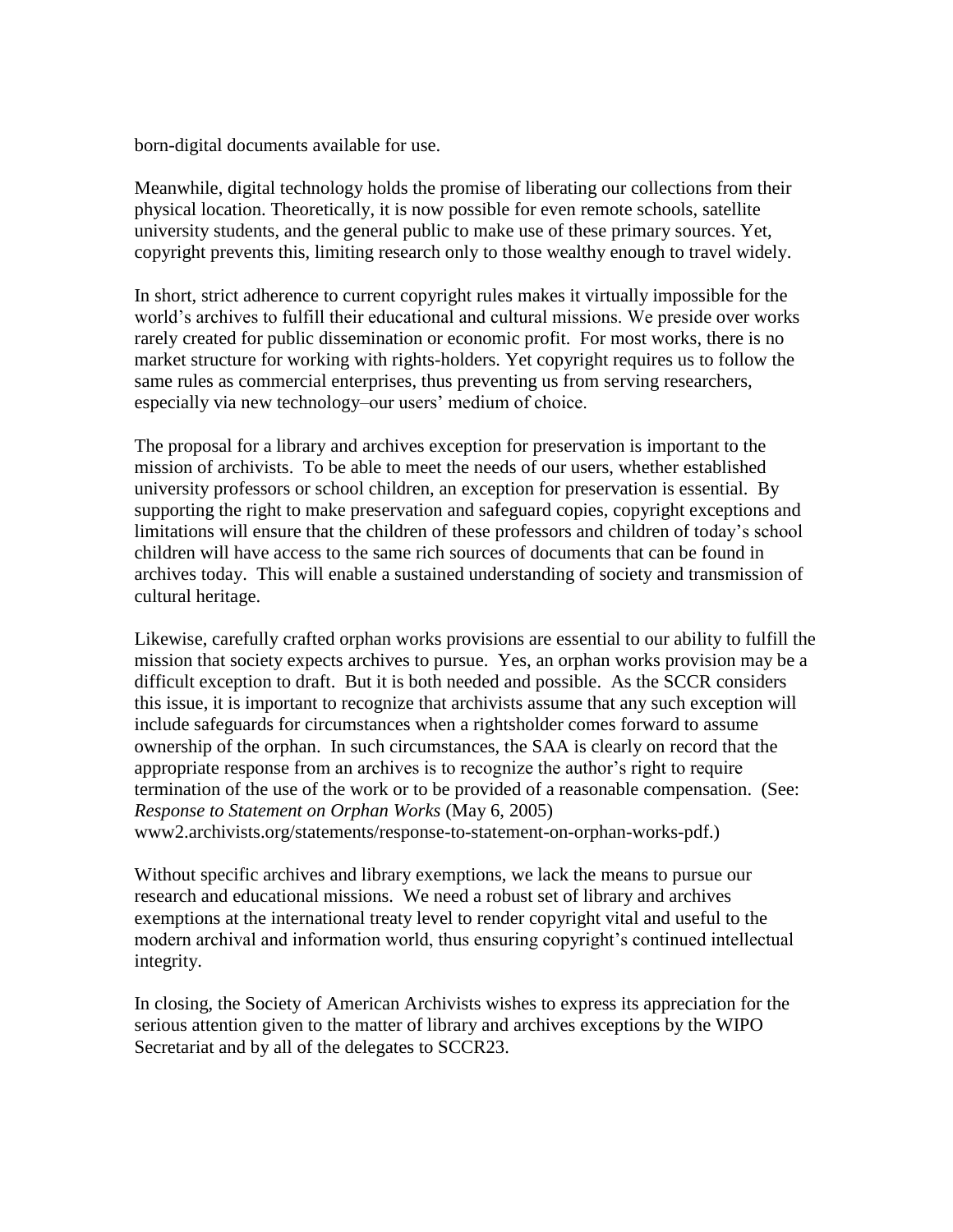born-digital documents available for use.

Meanwhile, digital technology holds the promise of liberating our collections from their physical location. Theoretically, it is now possible for even remote schools, satellite university students, and the general public to make use of these primary sources. Yet, copyright prevents this, limiting research only to those wealthy enough to travel widely.

In short, strict adherence to current copyright rules makes it virtually impossible for the world's archives to fulfill their educational and cultural missions. We preside over works rarely created for public dissemination or economic profit. For most works, there is no market structure for working with rights-holders. Yet copyright requires us to follow the same rules as commercial enterprises, thus preventing us from serving researchers, especially via new technology–our users' medium of choice.

The proposal for a library and archives exception for preservation is important to the mission of archivists. To be able to meet the needs of our users, whether established university professors or school children, an exception for preservation is essential. By supporting the right to make preservation and safeguard copies, copyright exceptions and limitations will ensure that the children of these professors and children of today's school children will have access to the same rich sources of documents that can be found in archives today. This will enable a sustained understanding of society and transmission of cultural heritage.

Likewise, carefully crafted orphan works provisions are essential to our ability to fulfill the mission that society expects archives to pursue. Yes, an orphan works provision may be a difficult exception to draft. But it is both needed and possible. As the SCCR considers this issue, it is important to recognize that archivists assume that any such exception will include safeguards for circumstances when a rightsholder comes forward to assume ownership of the orphan. In such circumstances, the SAA is clearly on record that the appropriate response from an archives is to recognize the author's right to require termination of the use of the work or to be provided of a reasonable compensation. (See: *Response to Statement on Orphan Works* (May 6, 2005) www2.archivists.org/statements/response-to-statement-on-orphan-works-pdf.)

Without specific archives and library exemptions, we lack the means to pursue our research and educational missions. We need a robust set of library and archives exemptions at the international treaty level to render copyright vital and useful to the modern archival and information world, thus ensuring copyright's continued intellectual integrity.

In closing, the Society of American Archivists wishes to express its appreciation for the serious attention given to the matter of library and archives exceptions by the WIPO Secretariat and by all of the delegates to SCCR23.